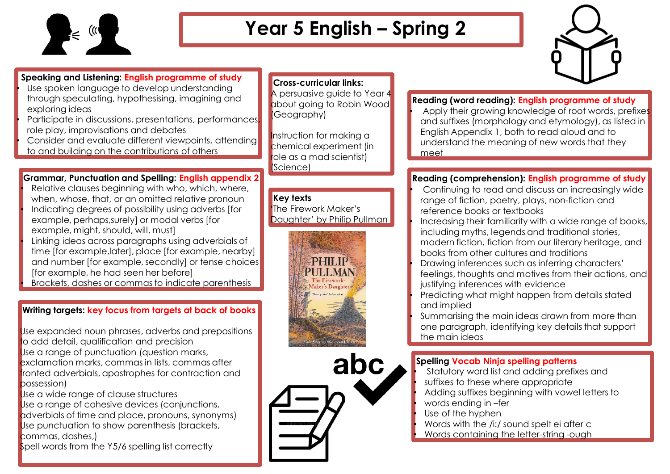

## **Year 5 English – Spring 2**



**Speaking and Listening: English programme of study** Use spoken language to develop understanding through speculating, hypothesising, imagining and

exploring ideas

• Participate in discussions, presentations, performances, role play, improvisations and debates

• Consider and evaluate different viewpoints, attending to and building on the contributions of others

**Grammar, Punctuation and Spelling: English appendix 2**

Relative clauses beginning with who, which, where, when, whose, that, or an omitted relative pronoun • Indicating degrees of possibility using adverbs [for example, perhaps,surely] or modal verbs [for example, might, should, will, must] • Linking ideas across paragraphs using adverbials of time [for example,later], place [for example, nearby] and number [for example, secondly] or tense choices [for example, he had seen her before] • Brackets, dashes or commas to indicate parenthesis

## **Writing targets: key focus from targets at back of books**

Use expanded noun phrases, adverbs and prepositions to add detail, qualification and precision Use a range of punctuation (question marks, exclamation marks, commas in lists, commas after fronted adverbials, apostrophes for contraction and possession)

Use a wide range of clause structures Use a range of cohesive devices (conjunctions, adverbials of time and place, pronouns, synonyms) Use punctuation to show parenthesis (brackets, commas, dashes,)

Spell words from the Y5/6 spelling list correctly

#### **Cross-curricular links:**

A persuasive quide to Year 4 about going to Robin Wood (Geography)

Instruction for making a chemical experiment (in role as a mad scientist) (Science)

### **Key texts**

**'**The Firework Maker's Daughter' by Philip Pullman





#### **Reading (word reading): English programme of study**

Apply their growing knowledge of root words, prefixes and suffixes (morphology and etymology), as listed in English Appendix 1, both to read aloud and to understand the meaning of new words that they meet

#### **Reading (comprehension): English programme of study**

- Continuing to read and discuss an increasingly wide range of fiction, poetry, plays, non-fiction and reference books or textbooks
- Increasing their familiarity with a wide range of books, including myths, legends and traditional stories, modern fiction, fiction from our literary heritage, and books from other cultures and traditions
- Drawing inferences such as inferring characters' feelings, thoughts and motives from their actions, and justifying inferences with evidence
- Predicting what might happen from details stated and implied
- Summarising the main ideas drawn from more than one paragraph, identifying key details that support the main ideas

### **Spelling Vocab Ninja spelling patterns**

• Statutory word list and adding prefixes and • suffixes to these where appropriate • Adding suffixes beginning with vowel letters to

• words ending in –fer

Use of the hyphen

• Words with the /i:/ sound spelt ei after c • Words containing the letter-string -ough